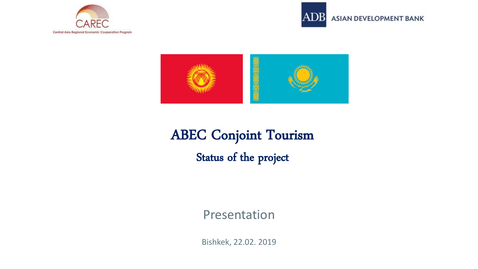



ASIAN DEVELOPMENT BANK



# ABEC Conjoint Tourism Status of the project

### Presentation

Bishkek, 22.02. 2019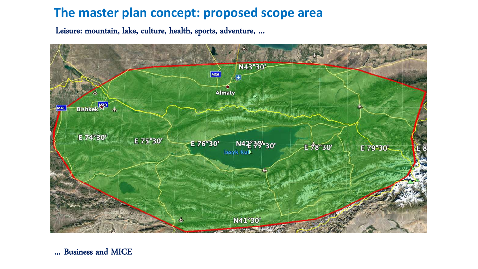### **The master plan concept: proposed scope area**

Leisure: mountain, lake, culture, health, sports, adventure, …



… Business and MICE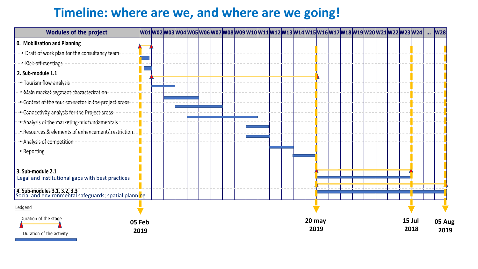## **Timeline: where are we, and where are we going!**

| <b>Wodules of the project</b>                                                                               |                | wo1 wo2 wo3 wo4 wo5 wo6 wo7 wo8 wo9 w10 w11 w12 w13 w14 w15 w16 w17 w18 w19 w20 w21 w22 w23 w24 |  |  |  |  |  |  |        |      |  |  |  |                | W <sub>28</sub> |
|-------------------------------------------------------------------------------------------------------------|----------------|-------------------------------------------------------------------------------------------------|--|--|--|--|--|--|--------|------|--|--|--|----------------|-----------------|
| 0. Mobilization and Planning                                                                                |                |                                                                                                 |  |  |  |  |  |  |        |      |  |  |  |                |                 |
| - Draft of work plan for the consultancy team-                                                              |                |                                                                                                 |  |  |  |  |  |  |        |      |  |  |  |                |                 |
| → Kick-off-meetings-                                                                                        |                |                                                                                                 |  |  |  |  |  |  |        |      |  |  |  |                |                 |
| 2. Sub-module 1.1                                                                                           |                |                                                                                                 |  |  |  |  |  |  |        |      |  |  |  |                |                 |
| • Tourism flow analysis                                                                                     |                |                                                                                                 |  |  |  |  |  |  |        |      |  |  |  |                |                 |
| • Main market segment characterization-                                                                     |                |                                                                                                 |  |  |  |  |  |  |        |      |  |  |  |                |                 |
| * Context of the tourism sector in the project areas                                                        |                |                                                                                                 |  |  |  |  |  |  |        |      |  |  |  |                |                 |
| • Connectivity analysis for the Project areas                                                               |                |                                                                                                 |  |  |  |  |  |  |        |      |  |  |  |                |                 |
| • Analysis of the marketing-mix fundamentals                                                                |                |                                                                                                 |  |  |  |  |  |  |        |      |  |  |  |                |                 |
| --Resources & elements of enhancement/-restriction-                                                         |                |                                                                                                 |  |  |  |  |  |  |        |      |  |  |  |                |                 |
| · Analysis of competition                                                                                   |                |                                                                                                 |  |  |  |  |  |  |        |      |  |  |  |                |                 |
| --Reporting                                                                                                 |                |                                                                                                 |  |  |  |  |  |  |        |      |  |  |  |                |                 |
|                                                                                                             |                |                                                                                                 |  |  |  |  |  |  |        |      |  |  |  |                |                 |
| 3. Sub-module 2.1                                                                                           |                |                                                                                                 |  |  |  |  |  |  |        |      |  |  |  |                |                 |
| Legal and institutional gaps with best practices                                                            |                |                                                                                                 |  |  |  |  |  |  |        |      |  |  |  |                |                 |
| <b>4. Sub-modules 3.1, 3.2, 3.3</b><br>Social and environmental safeguards; spatial planni <mark>n</mark> g |                |                                                                                                 |  |  |  |  |  |  |        |      |  |  |  |                |                 |
| Ledgend                                                                                                     |                |                                                                                                 |  |  |  |  |  |  |        |      |  |  |  |                |                 |
| Duration of the stage<br>Duration of the activity                                                           | 05 Feb<br>2019 |                                                                                                 |  |  |  |  |  |  | 20 may | 2019 |  |  |  | 15 Jul<br>2018 | 05 Aug<br>2019  |